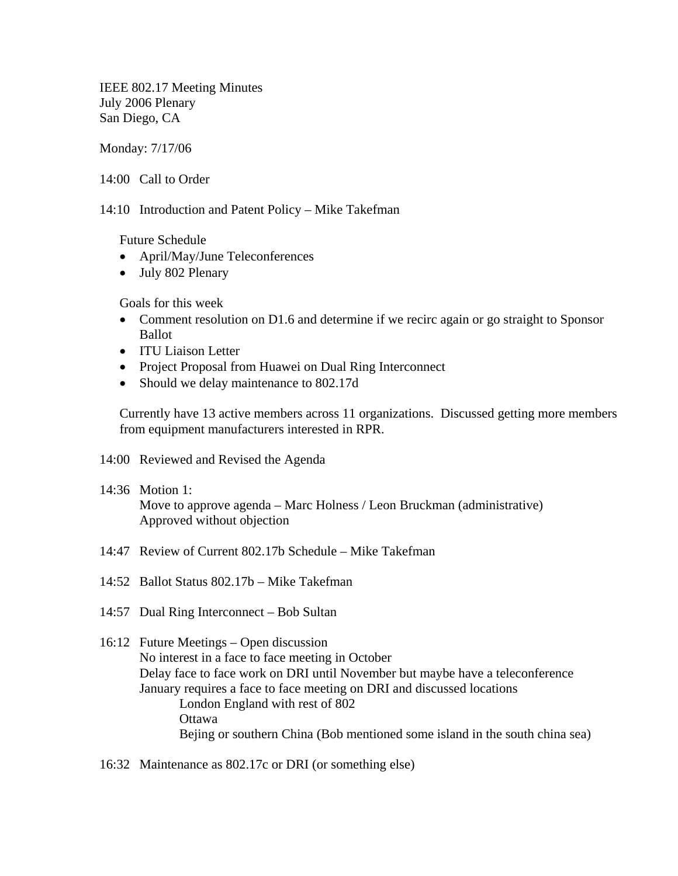IEEE 802.17 Meeting Minutes July 2006 Plenary San Diego, CA

Monday: 7/17/06

14:00 Call to Order

14:10 Introduction and Patent Policy – Mike Takefman

Future Schedule

- April/May/June Teleconferences
- July 802 Plenary

Goals for this week

- Comment resolution on D1.6 and determine if we recirc again or go straight to Sponsor Ballot
- ITU Liaison Letter
- Project Proposal from Huawei on Dual Ring Interconnect
- Should we delay maintenance to 802.17d

Currently have 13 active members across 11 organizations. Discussed getting more members from equipment manufacturers interested in RPR.

- 14:00 Reviewed and Revised the Agenda
- 14:36 Motion 1: Move to approve agenda – Marc Holness / Leon Bruckman (administrative) Approved without objection
- 14:47 Review of Current 802.17b Schedule Mike Takefman
- 14:52 Ballot Status 802.17b Mike Takefman
- 14:57 Dual Ring Interconnect Bob Sultan
- 16:12 Future Meetings Open discussion No interest in a face to face meeting in October Delay face to face work on DRI until November but maybe have a teleconference January requires a face to face meeting on DRI and discussed locations London England with rest of 802 **Ottawa** Bejing or southern China (Bob mentioned some island in the south china sea)
- 16:32 Maintenance as 802.17c or DRI (or something else)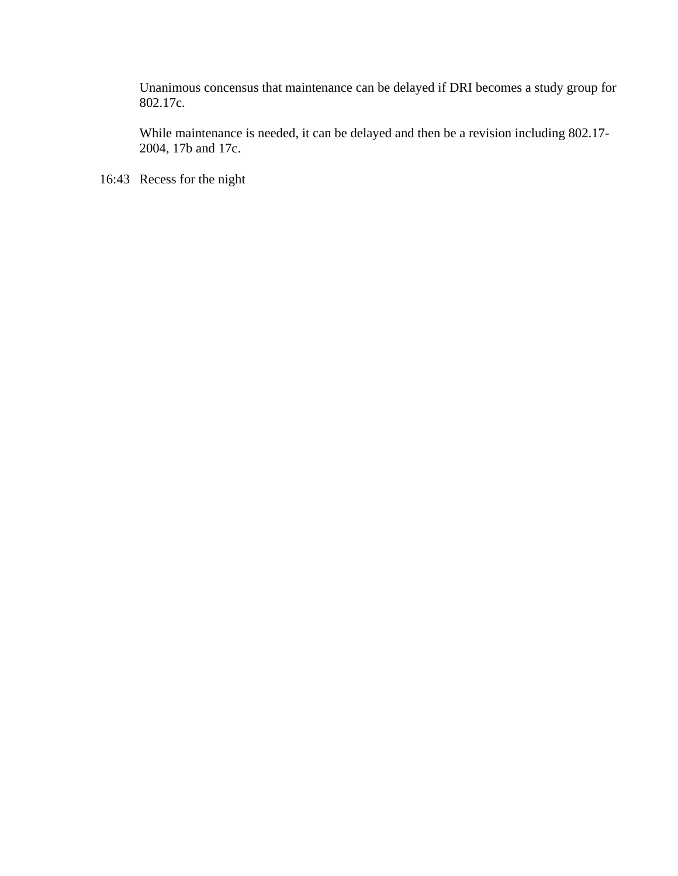Unanimous concensus that maintenance can be delayed if DRI becomes a study group for 802.17c.

While maintenance is needed, it can be delayed and then be a revision including 802.17- 2004, 17b and 17c.

16:43 Recess for the night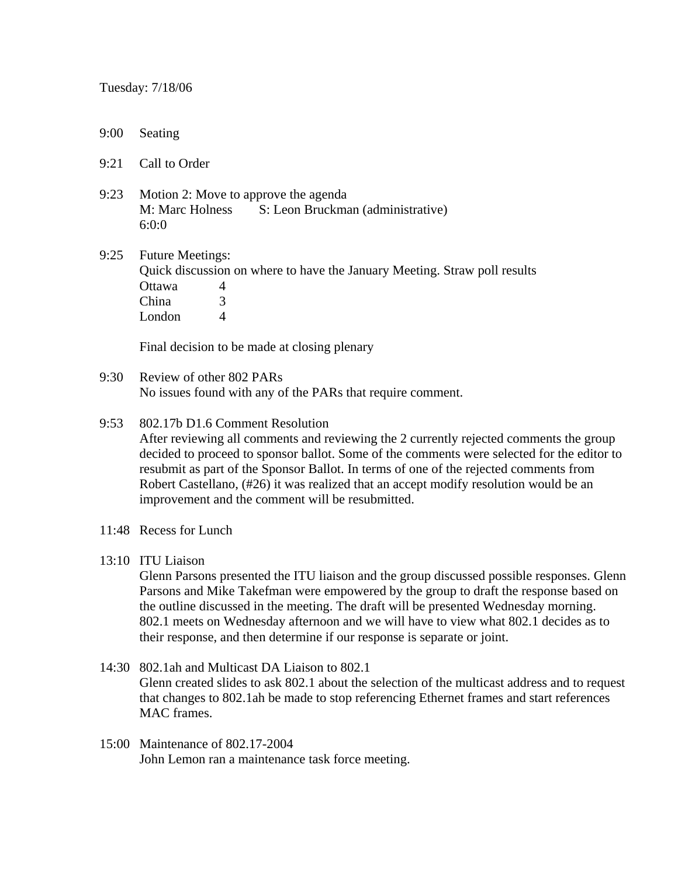- 9:00 Seating
- 9:21 Call to Order
- 9:23 Motion 2: Move to approve the agenda M: Marc Holness S: Leon Bruckman (administrative) 6:0:0

9:25 Future Meetings: Quick discussion on where to have the January Meeting. Straw poll results Ottawa 4 China 3 London 4

Final decision to be made at closing plenary

9:30 Review of other 802 PARs No issues found with any of the PARs that require comment.

## 9:53 802.17b D1.6 Comment Resolution

 After reviewing all comments and reviewing the 2 currently rejected comments the group decided to proceed to sponsor ballot. Some of the comments were selected for the editor to resubmit as part of the Sponsor Ballot. In terms of one of the rejected comments from Robert Castellano, (#26) it was realized that an accept modify resolution would be an improvement and the comment will be resubmitted.

- 11:48 Recess for Lunch
- 13:10 ITU Liaison

Glenn Parsons presented the ITU liaison and the group discussed possible responses. Glenn Parsons and Mike Takefman were empowered by the group to draft the response based on the outline discussed in the meeting. The draft will be presented Wednesday morning. 802.1 meets on Wednesday afternoon and we will have to view what 802.1 decides as to their response, and then determine if our response is separate or joint.

- 14:30 802.1ah and Multicast DA Liaison to 802.1 Glenn created slides to ask 802.1 about the selection of the multicast address and to request that changes to 802.1ah be made to stop referencing Ethernet frames and start references MAC frames.
- 15:00 Maintenance of 802.17-2004 John Lemon ran a maintenance task force meeting.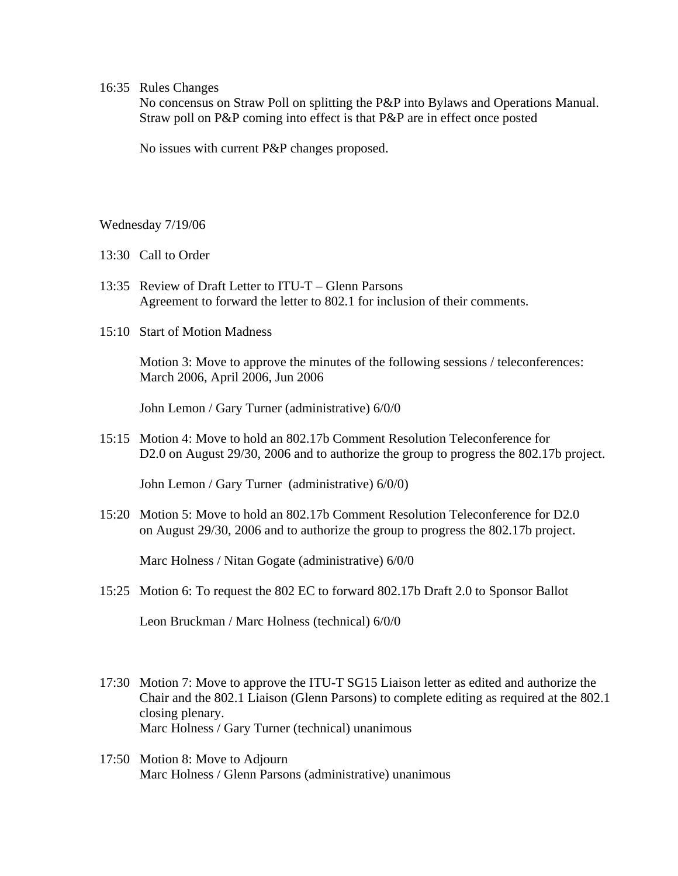## 16:35 Rules Changes

 No concensus on Straw Poll on splitting the P&P into Bylaws and Operations Manual. Straw poll on P&P coming into effect is that P&P are in effect once posted

No issues with current P&P changes proposed.

Wednesday 7/19/06

- 13:30 Call to Order
- 13:35 Review of Draft Letter to ITU-T Glenn Parsons Agreement to forward the letter to 802.1 for inclusion of their comments.
- 15:10 Start of Motion Madness

 Motion 3: Move to approve the minutes of the following sessions / teleconferences: March 2006, April 2006, Jun 2006

John Lemon / Gary Turner (administrative) 6/0/0

15:15 Motion 4: Move to hold an 802.17b Comment Resolution Teleconference for D2.0 on August 29/30, 2006 and to authorize the group to progress the 802.17b project.

John Lemon / Gary Turner (administrative) 6/0/0)

15:20 Motion 5: Move to hold an 802.17b Comment Resolution Teleconference for D2.0 on August 29/30, 2006 and to authorize the group to progress the 802.17b project.

Marc Holness / Nitan Gogate (administrative) 6/0/0

15:25 Motion 6: To request the 802 EC to forward 802.17b Draft 2.0 to Sponsor Ballot

Leon Bruckman / Marc Holness (technical) 6/0/0

- 17:30 Motion 7: Move to approve the ITU-T SG15 Liaison letter as edited and authorize the Chair and the 802.1 Liaison (Glenn Parsons) to complete editing as required at the 802.1 closing plenary. Marc Holness / Gary Turner (technical) unanimous
- 17:50 Motion 8: Move to Adjourn Marc Holness / Glenn Parsons (administrative) unanimous